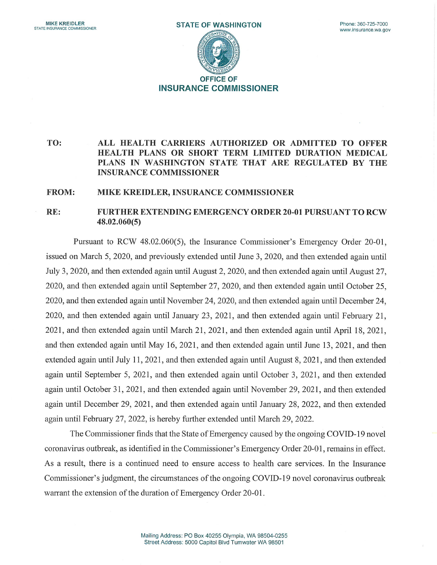

## TO: ALL HEALTH CARRIERS AUTHORIZED OR ADMITTED TO OFFER HEALTH PLANS OR SHORT TERM LIMITED DURATION MEDICAL PLANS IN WASHINGTON STATE THAT ARE REGULATED BY THE INSURANCE COMMISSIONER

## FROM: MIKE KREIDLER, INSURANCE COMMISSIONER

## RE: FURTHER EXTENDING EMERGENCY ORDER 20-01 PURSUANT TO RCW 48.02.060(5)

Pursuant to RCW 48.02.060(5), the Insurance Commissioner's Emergency Order 20-01, issued on March 5, 2020, and previously extended until June 3, 2020, and then extended again until July 3, 2020, and then extended again until August 2, 2020, and then extended again until August 27, 2020, and then extended again until September 27, 2020, and then extended again until October 25, 2020, and then extended again until November 24, 2020, and then extended again until December 24, 2020, and then extended again until January 23, 2021, and then extended again until February 21, 2021, and then extended again until March 21, 2021, and then extended again until April 18, 2021, and then extended again until May 16, 2021, and then extended again until June 13, 2021, and then extended again until July 11, 2021, and then extended again until August 8, 2021, and then extended again until September 5, 2021, and then extended again until October 3, 2021, and then extended again until October 31, 2021, and then extended again until November 29, 2021, and then extended again until December 29, 2021, and then extended again until January 28, 2022, and then extended again until February 27, 2022, is hereby 'further extended until March 29, 2022.

The Commissioner finds that the State of Emergency caused by the ongoing COVID-19 novel coronavirus outbreak, as identified in the Commissioner's Emergency Order 20-01, remains in effect. As a result, there is a continued need to ensure access to health care services. In the Insurance Commissioner's judgment, the circumstances of the ongoing COVID-19 novel coronavirus outbreak warrant the extension of the duration of Emergency Order 20-01.

> Mailing Address: PO Box 40255 Olympia, WA 98504-0255 Street Address: 5000 Capitol Blvd Tumwater WA 98501